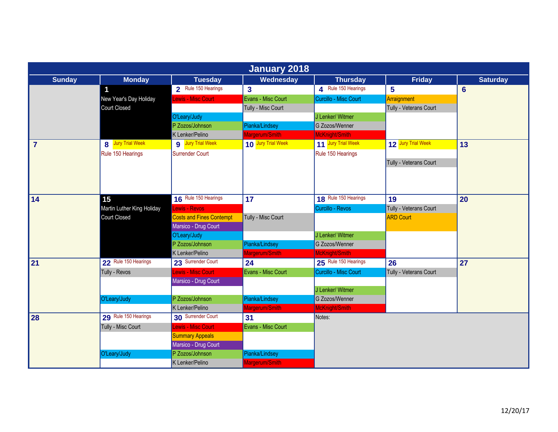| <b>January 2018</b> |                            |                                 |                         |                       |                        |                 |  |  |
|---------------------|----------------------------|---------------------------------|-------------------------|-----------------------|------------------------|-----------------|--|--|
| <b>Sunday</b>       | <b>Monday</b>              | <b>Tuesday</b>                  | Wednesday               | <b>Thursday</b>       | <b>Friday</b>          | <b>Saturday</b> |  |  |
|                     |                            | 2 Rule 150 Hearings             | $\overline{\mathbf{3}}$ | A Rule 150 Hearings   | 5                      | $6\phantom{1}6$ |  |  |
|                     | New Year's Day Holiday     | Lewis - Misc Court              | Evans - Misc Court      | Curcillo - Misc Court | Arraignment            |                 |  |  |
|                     | Court Closed               |                                 | Tully - Misc Court      |                       | Tully - Veterans Court |                 |  |  |
|                     |                            | O'Leary/Judy                    |                         | J Lenker/ Witmer      |                        |                 |  |  |
|                     |                            | P Zozos/Johnson                 | Pianka/Lindsey          | G Zozos/Wenner        |                        |                 |  |  |
|                     |                            | K Lenker/Pelino                 | Margerum/Smith          | McKnight/Smith        |                        |                 |  |  |
| $\overline{7}$      | 8 Jury Trial Week          | 9 Jury Trial Week               | 10 Jury Trial Week      | 11 Jury Trial Week    | 12 Jury Trial Week     | 13              |  |  |
|                     | Rule 150 Hearings          | <b>Surrender Court</b>          |                         | Rule 150 Hearings     |                        |                 |  |  |
|                     |                            |                                 |                         |                       | Tully - Veterans Court |                 |  |  |
|                     |                            |                                 |                         |                       |                        |                 |  |  |
|                     |                            |                                 |                         |                       |                        |                 |  |  |
|                     |                            |                                 |                         |                       |                        |                 |  |  |
| $\vert$ 14          | 15                         | 16 Rule 150 Hearings            | 17                      | 18 Rule 150 Hearings  | 19                     | 20              |  |  |
|                     | Martin Luther King Holiday | Lewis - Revos                   |                         | Curcillo - Revos      | Tully - Veterans Court |                 |  |  |
|                     | <b>Court Closed</b>        | <b>Costs and Fines Contempt</b> | Tully - Misc Court      |                       | <b>ARD Court</b>       |                 |  |  |
|                     |                            | Marsico - Drug Court            |                         |                       |                        |                 |  |  |
|                     |                            | O'Leary/Judy                    |                         | J Lenker/ Witmer      |                        |                 |  |  |
|                     |                            | P Zozos/Johnson                 | Pianka/Lindsey          | G Zozos/Wenner        |                        |                 |  |  |
|                     |                            | K Lenker/Pelino                 | Margerum/Smith          | McKnight/Smith        |                        |                 |  |  |
| 21                  | 22 Rule 150 Hearings       | 23 Surrender Court              | 24                      | 25 Rule 150 Hearings  | 26                     | 27              |  |  |
|                     | Tully - Revos              | Lewis - Misc Court              | Evans - Misc Court      | Curcillo - Misc Court | Tully - Veterans Court |                 |  |  |
|                     |                            | Marsico - Drug Court            |                         |                       |                        |                 |  |  |
|                     |                            |                                 |                         | J Lenker/ Witmer      |                        |                 |  |  |
|                     | O'Leary/Judy               | P Zozos/Johnson                 | Pianka/Lindsey          | G Zozos/Wenner        |                        |                 |  |  |
|                     |                            | K Lenker/Pelino                 | Margerum/Smith          | McKnight/Smith        |                        |                 |  |  |
| 28                  | 29 Rule 150 Hearings       | 30 Surrender Court              | 31                      | Notes:                |                        |                 |  |  |
|                     | Tully - Misc Court         | Lewis - Misc Court              | Evans - Misc Court      |                       |                        |                 |  |  |
|                     |                            | <b>Summary Appeals</b>          |                         |                       |                        |                 |  |  |
|                     |                            | Marsico - Drug Court            |                         |                       |                        |                 |  |  |
|                     | O'Leary/Judy               | P Zozos/Johnson                 | Pianka/Lindsey          |                       |                        |                 |  |  |
|                     |                            | K Lenker/Pelino                 | Margerum/Smith          |                       |                        |                 |  |  |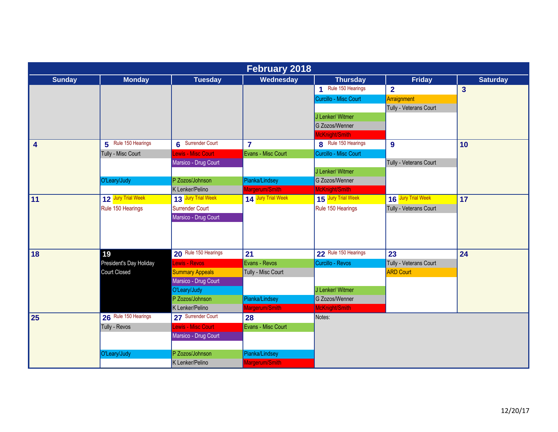| <b>February 2018</b> |                         |                        |                    |                        |                        |                 |  |  |
|----------------------|-------------------------|------------------------|--------------------|------------------------|------------------------|-----------------|--|--|
| <b>Sunday</b>        | <b>Monday</b>           | <b>Tuesday</b>         | Wednesday          | <b>Thursday</b>        | <b>Friday</b>          | <b>Saturday</b> |  |  |
|                      |                         |                        |                    | Rule 150 Hearings<br>4 | $\overline{2}$         | $\overline{3}$  |  |  |
|                      |                         |                        |                    | Curcillo - Misc Court  | Arraignment            |                 |  |  |
|                      |                         |                        |                    |                        | Tully - Veterans Court |                 |  |  |
|                      |                         |                        |                    | J Lenker/ Witmer       |                        |                 |  |  |
|                      |                         |                        |                    | G Zozos/Wenner         |                        |                 |  |  |
|                      |                         |                        |                    | McKnight/Smith         |                        |                 |  |  |
| 4                    | 5 Rule 150 Hearings     | 6 Surrender Court      | $\overline{7}$     | 8 Rule 150 Hearings    | $\boldsymbol{9}$       | 10              |  |  |
|                      | Tully - Misc Court      | Lewis - Misc Court     | Evans - Misc Court | Curcillo - Misc Court  |                        |                 |  |  |
|                      |                         | Marsico - Drug Court   |                    |                        | Tully - Veterans Court |                 |  |  |
|                      |                         |                        |                    | J Lenker/ Witmer       |                        |                 |  |  |
|                      | O'Leary/Judy            | P Zozos/Johnson        | Pianka/Lindsey     | G Zozos/Wenner         |                        |                 |  |  |
|                      |                         | K Lenker/Pelino        | Margerum/Smith     | McKnight/Smith         |                        |                 |  |  |
| $\overline{11}$      | 12 Jury Trial Week      | 13 Jury Trial Week     | 14 Jury Trial Week | 15 Jury Trial Week     | 16 Jury Trial Week     | 17              |  |  |
|                      | Rule 150 Hearings       | Surrender Court        |                    | Rule 150 Hearings      | Tully - Veterans Court |                 |  |  |
|                      |                         | Marsico - Drug Court   |                    |                        |                        |                 |  |  |
|                      |                         |                        |                    |                        |                        |                 |  |  |
|                      |                         |                        |                    |                        |                        |                 |  |  |
| 18                   | 19                      | 20 Rule 150 Hearings   | 21                 | 22 Rule 150 Hearings   | 23                     | 24              |  |  |
|                      | President's Day Holiday | Lewis - Revos          | Evans - Revos      | Curcillo - Revos       | Tully - Veterans Court |                 |  |  |
|                      | Court Closed            | <b>Summary Appeals</b> | Tully - Misc Court |                        | <b>ARD Court</b>       |                 |  |  |
|                      |                         | Marsico - Drug Court   |                    |                        |                        |                 |  |  |
|                      |                         | O'Leary/Judy           |                    | J Lenker/ Witmer       |                        |                 |  |  |
|                      |                         | P Zozos/Johnson        | Pianka/Lindsey     | G Zozos/Wenner         |                        |                 |  |  |
|                      |                         | K Lenker/Pelino        | Margerum/Smith     | McKnight/Smith         |                        |                 |  |  |
| 25                   | 26 Rule 150 Hearings    | 27 Surrender Court     | 28                 | Notes:                 |                        |                 |  |  |
|                      | Tully - Revos           | Lewis - Misc Court     | Evans - Misc Court |                        |                        |                 |  |  |
|                      |                         | Marsico - Drug Court   |                    |                        |                        |                 |  |  |
|                      |                         |                        |                    |                        |                        |                 |  |  |
|                      | O'Leary/Judy            | P Zozos/Johnson        | Pianka/Lindsey     |                        |                        |                 |  |  |
|                      |                         | K Lenker/Pelino        | Margerum/Smith     |                        |                        |                 |  |  |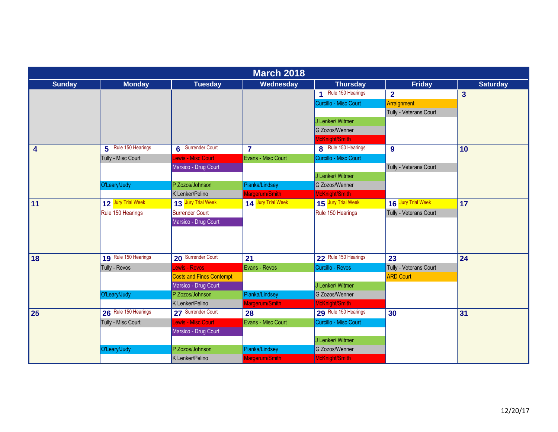|                         | <b>March 2018</b>    |                                 |                         |                       |                        |                         |  |  |  |
|-------------------------|----------------------|---------------------------------|-------------------------|-----------------------|------------------------|-------------------------|--|--|--|
| <b>Sunday</b>           | <b>Monday</b>        | <b>Tuesday</b>                  | Wednesday               | <b>Thursday</b>       | <b>Friday</b>          | <b>Saturday</b>         |  |  |  |
|                         |                      |                                 |                         | 1 Rule 150 Hearings   | $\overline{2}$         | $\overline{\mathbf{3}}$ |  |  |  |
|                         |                      |                                 |                         | Curcillo - Misc Court | Arraignment            |                         |  |  |  |
|                         |                      |                                 |                         |                       | Tully - Veterans Court |                         |  |  |  |
|                         |                      |                                 |                         | J Lenker/ Witmer      |                        |                         |  |  |  |
|                         |                      |                                 |                         | G Zozos/Wenner        |                        |                         |  |  |  |
|                         |                      |                                 |                         | McKnight/Smith        |                        |                         |  |  |  |
| $\overline{\mathbf{4}}$ | 5 Rule 150 Hearings  | 6 Surrender Court               | $\overline{\mathbf{r}}$ | 8 Rule 150 Hearings   | $\boldsymbol{9}$       | 10                      |  |  |  |
|                         | Tully - Misc Court   | <b>Lewis - Misc Court</b>       | Evans - Misc Court      | Curcillo - Misc Court |                        |                         |  |  |  |
|                         |                      | Marsico - Drug Court            |                         |                       | Tully - Veterans Court |                         |  |  |  |
|                         |                      |                                 |                         | J Lenker/ Witmer      |                        |                         |  |  |  |
|                         | O'Leary/Judy         | P Zozos/Johnson                 | Pianka/Lindsey          | G Zozos/Wenner        |                        |                         |  |  |  |
|                         |                      | K Lenker/Pelino                 | Margerum/Smith          | McKnight/Smith        |                        |                         |  |  |  |
| 11                      | 12 Jury Trial Week   | 13 Jury Trial Week              | 14 Jury Trial Week      | 15 Jury Trial Week    | 16 Jury Trial Week     | 17                      |  |  |  |
|                         | Rule 150 Hearings    | Surrender Court                 |                         | Rule 150 Hearings     | Tully - Veterans Court |                         |  |  |  |
|                         |                      | Marsico - Drug Court            |                         |                       |                        |                         |  |  |  |
|                         |                      |                                 |                         |                       |                        |                         |  |  |  |
|                         |                      |                                 |                         |                       |                        |                         |  |  |  |
| 18                      | 19 Rule 150 Hearings | 20 Surrender Court              | 21                      | 22 Rule 150 Hearings  | 23                     | 24                      |  |  |  |
|                         | Tully - Revos        | Lewis - Revos                   | Evans - Revos           | Curcillo - Revos      | Tully - Veterans Court |                         |  |  |  |
|                         |                      | <b>Costs and Fines Contempt</b> |                         |                       | <b>ARD Court</b>       |                         |  |  |  |
|                         |                      | Marsico - Drug Court            |                         | J Lenker/ Witmer      |                        |                         |  |  |  |
|                         | O'Leary/Judy         | P Zozos/Johnson                 | Pianka/Lindsey          | G Zozos/Wenner        |                        |                         |  |  |  |
|                         |                      | K Lenker/Pelino                 | Margerum/Smith          | McKnight/Smith        |                        |                         |  |  |  |
| 25                      | 26 Rule 150 Hearings | 27 Surrender Court              | 28                      | 29 Rule 150 Hearings  | 30                     | 31                      |  |  |  |
|                         | Tully - Misc Court   | <b>Lewis - Misc Court</b>       | Evans - Misc Court      | Curcillo - Misc Court |                        |                         |  |  |  |
|                         |                      | Marsico - Drug Court            |                         |                       |                        |                         |  |  |  |
|                         |                      |                                 |                         | J Lenker/ Witmer      |                        |                         |  |  |  |
|                         | O'Leary/Judy         | P Zozos/Johnson                 | Pianka/Lindsey          | G Zozos/Wenner        |                        |                         |  |  |  |
|                         |                      | K Lenker/Pelino                 | Margerum/Smith          | McKnight/Smith        |                        |                         |  |  |  |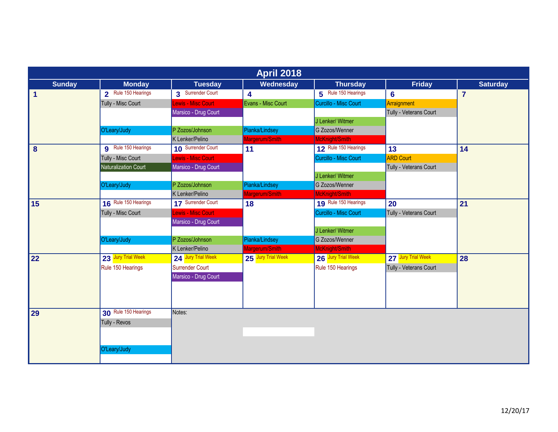| <b>April 2018</b>    |                             |                      |                    |                       |                        |                 |  |  |
|----------------------|-----------------------------|----------------------|--------------------|-----------------------|------------------------|-----------------|--|--|
| <b>Sunday</b>        | <b>Monday</b>               | <b>Tuesday</b>       | Wednesday          | <b>Thursday</b>       | <b>Friday</b>          | <b>Saturday</b> |  |  |
| $\blacktriangleleft$ | 2 Rule 150 Hearings         | 3 Surrender Court    | 4                  | 5 Rule 150 Hearings   | $6\phantom{1}6$        | $\overline{7}$  |  |  |
|                      | Tully - Misc Court          | Lewis - Misc Court   | Evans - Misc Court | Curcillo - Misc Court | Arraignment            |                 |  |  |
|                      |                             | Marsico - Drug Court |                    |                       | Tully - Veterans Court |                 |  |  |
|                      |                             |                      |                    | J Lenker/ Witmer      |                        |                 |  |  |
|                      | O'Leary/Judy                | P Zozos/Johnson      | Pianka/Lindsey     | G Zozos/Wenner        |                        |                 |  |  |
|                      |                             | K Lenker/Pelino      | Margerum/Smith     | McKnight/Smith        |                        |                 |  |  |
| 8                    | <b>9</b> Rule 150 Hearings  | 10 Surrender Court   | 11                 | 12 Rule 150 Hearings  | 13                     | 14              |  |  |
|                      | Tully - Misc Court          | Lewis - Misc Court   |                    | Curcillo - Misc Court | <b>ARD Court</b>       |                 |  |  |
|                      | <b>Naturalization Court</b> | Marsico - Drug Court |                    |                       | Tully - Veterans Court |                 |  |  |
|                      |                             |                      |                    | J Lenker/ Witmer      |                        |                 |  |  |
|                      | O'Leary/Judy                | P Zozos/Johnson      | Pianka/Lindsey     | G Zozos/Wenner        |                        |                 |  |  |
|                      |                             | K Lenker/Pelino      | Margerum/Smith     | McKnight/Smith        |                        |                 |  |  |
| 15                   | 16 Rule 150 Hearings        | 17 Surrender Court   | 18                 | 19 Rule 150 Hearings  | 20                     | 21              |  |  |
|                      | Tully - Misc Court          | ewis - Misc Court    |                    | Curcillo - Misc Court | Tully - Veterans Court |                 |  |  |
|                      |                             | Marsico - Drug Court |                    |                       |                        |                 |  |  |
|                      |                             |                      |                    | J Lenker/ Witmer      |                        |                 |  |  |
|                      | O'Leary/Judy                | P Zozos/Johnson      | Pianka/Lindsey     | G Zozos/Wenner        |                        |                 |  |  |
|                      |                             | K Lenker/Pelino      | Margerum/Smith     | McKnight/Smith        |                        |                 |  |  |
| 22                   | 23 Jury Trial Week          | 24 Jury Trial Week   | 25 Jury Trial Week | 26 Jury Trial Week    | 27 Jury Trial Week     | 28              |  |  |
|                      | Rule 150 Hearings           | Surrender Court      |                    | Rule 150 Hearings     | Tully - Veterans Court |                 |  |  |
|                      |                             | Marsico - Drug Court |                    |                       |                        |                 |  |  |
|                      |                             |                      |                    |                       |                        |                 |  |  |
|                      |                             |                      |                    |                       |                        |                 |  |  |
| 29                   | 30 Rule 150 Hearings        | Notes:               |                    |                       |                        |                 |  |  |
|                      | Tully - Revos               |                      |                    |                       |                        |                 |  |  |
|                      |                             |                      |                    |                       |                        |                 |  |  |
|                      |                             |                      |                    |                       |                        |                 |  |  |
|                      | O'Leary/Judy                |                      |                    |                       |                        |                 |  |  |
|                      |                             |                      |                    |                       |                        |                 |  |  |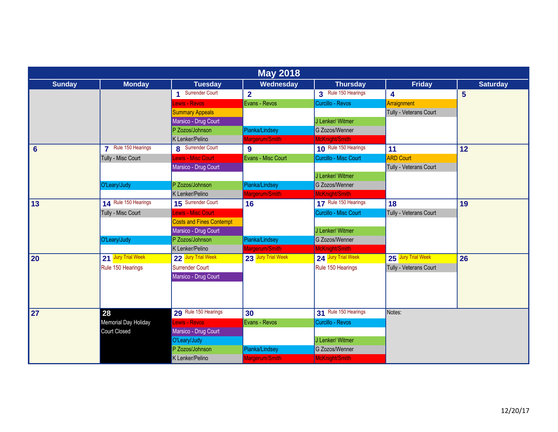| <b>May 2018</b> |                      |                                 |                    |                       |                        |                 |  |  |
|-----------------|----------------------|---------------------------------|--------------------|-----------------------|------------------------|-----------------|--|--|
| <b>Sunday</b>   | <b>Monday</b>        | <b>Tuesday</b>                  | Wednesday          | <b>Thursday</b>       | <b>Friday</b>          | <b>Saturday</b> |  |  |
|                 |                      | 1 Surrender Court               | $\overline{2}$     | 3 Rule 150 Hearings   | 4                      | 5 <sup>5</sup>  |  |  |
|                 |                      | <b>Lewis - Revos</b>            | Evans - Revos      | Curcillo - Revos      | Arraignment            |                 |  |  |
|                 |                      | <b>Summary Appeals</b>          |                    |                       | Tully - Veterans Court |                 |  |  |
|                 |                      | Marsico - Drug Court            |                    | J Lenker/ Witmer      |                        |                 |  |  |
|                 |                      | P Zozos/Johnson                 | Pianka/Lindsey     | G Zozos/Wenner        |                        |                 |  |  |
|                 |                      | K Lenker/Pelino                 | Margerum/Smith     | McKnight/Smith        |                        |                 |  |  |
| $6\phantom{1}$  | 7 Rule 150 Hearings  | 8 Surrender Court               | 9                  | 10 Rule 150 Hearings  | 11                     | 12              |  |  |
|                 | Tully - Misc Court   | <b>Lewis - Misc Court</b>       | Evans - Misc Court | Curcillo - Misc Court | <b>ARD Court</b>       |                 |  |  |
|                 |                      | Marsico - Drug Court            |                    |                       | Tully - Veterans Court |                 |  |  |
|                 |                      |                                 |                    | J Lenker/ Witmer      |                        |                 |  |  |
|                 | O'Leary/Judy         | P Zozos/Johnson                 | Pianka/Lindsey     | G Zozos/Wenner        |                        |                 |  |  |
|                 |                      | K Lenker/Pelino                 | Margerum/Smith     | McKnight/Smith        |                        |                 |  |  |
| 13              | 14 Rule 150 Hearings | 15 Surrender Court              | 16                 | 17 Rule 150 Hearings  | 18                     | 19              |  |  |
|                 | Tully - Misc Court   | Lewis - Misc Court              |                    | Curcillo - Misc Court | Tully - Veterans Court |                 |  |  |
|                 |                      | <b>Costs and Fines Contempt</b> |                    |                       |                        |                 |  |  |
|                 |                      | Marsico - Drug Court            |                    | J Lenker/ Witmer      |                        |                 |  |  |
|                 | O'Leary/Judy         | P Zozos/Johnson                 | Pianka/Lindsey     | G Zozos/Wenner        |                        |                 |  |  |
|                 |                      | K Lenker/Pelino                 | Margerum/Smith     | McKnight/Smith        |                        |                 |  |  |
| 20              | 21 Jury Trial Week   | 22 Jury Trial Week              | 23 Jury Trial Week | 24 Jury Trial Week    | 25 Jury Trial Week     | 26              |  |  |
|                 | Rule 150 Hearings    | Surrender Court                 |                    | Rule 150 Hearings     | Tully - Veterans Court |                 |  |  |
|                 |                      | Marsico - Drug Court            |                    |                       |                        |                 |  |  |
|                 |                      |                                 |                    |                       |                        |                 |  |  |
|                 |                      |                                 |                    |                       |                        |                 |  |  |
| 27              | 28                   | 29 Rule 150 Hearings            | 30                 | 31 Rule 150 Hearings  | Notes:                 |                 |  |  |
|                 | Memorial Day Holiday | <b>Lewis - Revos</b>            | Evans - Revos      | Curcillo - Revos      |                        |                 |  |  |
|                 | Court Closed         | Marsico - Drug Court            |                    |                       |                        |                 |  |  |
|                 |                      | O'Leary/Judy                    |                    | J Lenker/ Witmer      |                        |                 |  |  |
|                 |                      | P Zozos/Johnson                 | Pianka/Lindsey     | G Zozos/Wenner        |                        |                 |  |  |
|                 |                      | K Lenker/Pelino                 | Margerum/Smith     | McKnight/Smith        |                        |                 |  |  |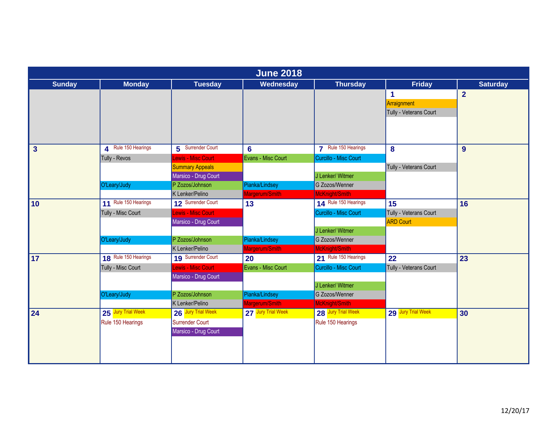| <b>June 2018</b> |                      |                           |                    |                       |                        |                 |  |
|------------------|----------------------|---------------------------|--------------------|-----------------------|------------------------|-----------------|--|
| <b>Sunday</b>    | <b>Monday</b>        | <b>Tuesday</b>            | Wednesday          | <b>Thursday</b>       | <b>Friday</b>          | <b>Saturday</b> |  |
|                  |                      |                           |                    |                       | 1                      | $\overline{2}$  |  |
|                  |                      |                           |                    |                       | Arraignment            |                 |  |
|                  |                      |                           |                    |                       | Tully - Veterans Court |                 |  |
|                  |                      |                           |                    |                       |                        |                 |  |
|                  |                      |                           |                    |                       |                        |                 |  |
| $\mathbf{3}$     | A Rule 150 Hearings  | 5 Surrender Court         | $6\phantom{a}$     | 7 Rule 150 Hearings   | 8                      | 9               |  |
|                  | Tully - Revos        | <b>Lewis - Misc Court</b> | Evans - Misc Court | Curcillo - Misc Court |                        |                 |  |
|                  |                      | <b>Summary Appeals</b>    |                    |                       | Tully - Veterans Court |                 |  |
|                  |                      | Marsico - Drug Court      |                    | J Lenker/ Witmer      |                        |                 |  |
|                  | O'Leary/Judy         | P Zozos/Johnson           | Pianka/Lindsey     | G Zozos/Wenner        |                        |                 |  |
|                  |                      | K Lenker/Pelino           | Margerum/Smith     | McKnight/Smith        |                        |                 |  |
| 10               | 11 Rule 150 Hearings | 12 Surrender Court        | 13                 | 14 Rule 150 Hearings  | 15                     | 16              |  |
|                  | Tully - Misc Court   | <b>Lewis - Misc Court</b> |                    | Curcillo - Misc Court | Tully - Veterans Court |                 |  |
|                  |                      | Marsico - Drug Court      |                    |                       | <b>ARD Court</b>       |                 |  |
|                  |                      |                           |                    | J Lenker/ Witmer      |                        |                 |  |
|                  | O'Leary/Judy         | P Zozos/Johnson           | Pianka/Lindsey     | G Zozos/Wenner        |                        |                 |  |
|                  |                      | K Lenker/Pelino           | Margerum/Smith     | McKnight/Smith        |                        |                 |  |
| 17               | 18 Rule 150 Hearings | 19 Surrender Court        | 20                 | 21 Rule 150 Hearings  | 22                     | 23              |  |
|                  | Tully - Misc Court   | <b>Lewis - Misc Court</b> | Evans - Misc Court | Curcillo - Misc Court | Tully - Veterans Court |                 |  |
|                  |                      | Marsico - Drug Court      |                    |                       |                        |                 |  |
|                  |                      |                           |                    | J Lenker/ Witmer      |                        |                 |  |
|                  | O'Leary/Judy         | P Zozos/Johnson           | Pianka/Lindsey     | G Zozos/Wenner        |                        |                 |  |
|                  |                      | K Lenker/Pelino           | Margerum/Smith     | McKnight/Smith        |                        |                 |  |
| 24               | 25 Jury Trial Week   | 26 Jury Trial Week        | 27 Jury Trial Week | 28 Jury Trial Week    | 29 Jury Trial Week     | 30              |  |
|                  | Rule 150 Hearings    | Surrender Court           |                    | Rule 150 Hearings     |                        |                 |  |
|                  |                      | Marsico - Drug Court      |                    |                       |                        |                 |  |
|                  |                      |                           |                    |                       |                        |                 |  |
|                  |                      |                           |                    |                       |                        |                 |  |
|                  |                      |                           |                    |                       |                        |                 |  |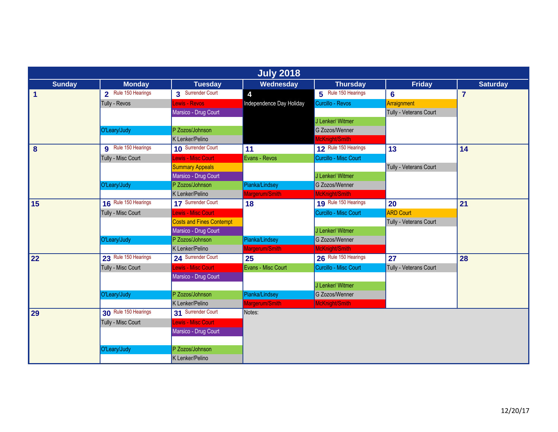| <b>July 2018</b>     |                            |                                 |                          |                       |                        |                 |  |  |
|----------------------|----------------------------|---------------------------------|--------------------------|-----------------------|------------------------|-----------------|--|--|
| <b>Sunday</b>        | <b>Monday</b>              | <b>Tuesday</b>                  | Wednesday                | <b>Thursday</b>       | <b>Friday</b>          | <b>Saturday</b> |  |  |
| $\blacktriangleleft$ | 2 Rule 150 Hearings        | 3 Surrender Court               | 4                        | 5 Rule 150 Hearings   | 6                      | $\overline{7}$  |  |  |
|                      | Tully - Revos              | Lewis - Revos                   | Independence Day Holiday | Curcillo - Revos      | Arraignment            |                 |  |  |
|                      |                            | Marsico - Drug Court            |                          |                       | Tully - Veterans Court |                 |  |  |
|                      |                            |                                 |                          | J Lenker/ Witmer      |                        |                 |  |  |
|                      | O'Leary/Judy               | P Zozos/Johnson                 |                          | G Zozos/Wenner        |                        |                 |  |  |
|                      |                            | K Lenker/Pelino                 |                          | McKnight/Smith        |                        |                 |  |  |
| 8                    | <b>q</b> Rule 150 Hearings | 10 Surrender Court              | 11                       | 12 Rule 150 Hearings  | 13                     | 14              |  |  |
|                      | Tully - Misc Court         | Lewis - Misc Court              | Evans - Revos            | Curcillo - Misc Court |                        |                 |  |  |
|                      |                            | <b>Summary Appeals</b>          |                          |                       | Tully - Veterans Court |                 |  |  |
|                      |                            | Marsico - Drug Court            |                          | J Lenker/ Witmer      |                        |                 |  |  |
|                      | O'Leary/Judy               | P Zozos/Johnson                 | Pianka/Lindsey           | G Zozos/Wenner        |                        |                 |  |  |
|                      |                            | K Lenker/Pelino                 | Margerum/Smith           | McKnight/Smith        |                        |                 |  |  |
| 15                   | 16 Rule 150 Hearings       | 17 Surrender Court              | 18                       | 19 Rule 150 Hearings  | 20                     | 21              |  |  |
|                      | Tully - Misc Court         | Lewis - Misc Court              |                          | Curcillo - Misc Court | <b>ARD Court</b>       |                 |  |  |
|                      |                            | <b>Costs and Fines Contempt</b> |                          |                       | Tully - Veterans Court |                 |  |  |
|                      |                            | Marsico - Drug Court            |                          | J Lenker/ Witmer      |                        |                 |  |  |
|                      | O'Leary/Judy               | P Zozos/Johnson                 | Pianka/Lindsey           | G Zozos/Wenner        |                        |                 |  |  |
|                      |                            | K Lenker/Pelino                 | Margerum/Smith           | McKnight/Smith        |                        |                 |  |  |
| 22                   | 23 Rule 150 Hearings       | 24 Surrender Court              | 25                       | 26 Rule 150 Hearings  | 27                     | 28              |  |  |
|                      | Tully - Misc Court         | Lewis - Misc Court              | Evans - Misc Court       | Curcillo - Misc Court | Tully - Veterans Court |                 |  |  |
|                      |                            | Marsico - Drug Court            |                          |                       |                        |                 |  |  |
|                      |                            |                                 |                          | J Lenker/ Witmer      |                        |                 |  |  |
|                      | O'Leary/Judy               | P Zozos/Johnson                 | Pianka/Lindsey           | G Zozos/Wenner        |                        |                 |  |  |
|                      |                            | K Lenker/Pelino                 | Margerum/Smith           | McKnight/Smith        |                        |                 |  |  |
| 29                   | 30 Rule 150 Hearings       | 31 Surrender Court              | Notes:                   |                       |                        |                 |  |  |
|                      | Tully - Misc Court         | Lewis - Misc Court              |                          |                       |                        |                 |  |  |
|                      |                            | Marsico - Drug Court            |                          |                       |                        |                 |  |  |
|                      |                            |                                 |                          |                       |                        |                 |  |  |
|                      | O'Leary/Judy               | P Zozos/Johnson                 |                          |                       |                        |                 |  |  |
|                      |                            | K Lenker/Pelino                 |                          |                       |                        |                 |  |  |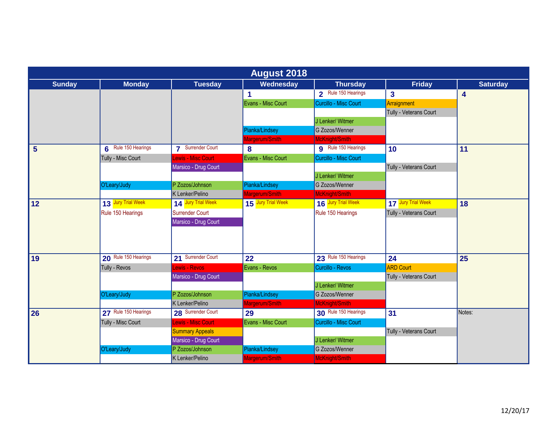|                | <b>August 2018</b>   |                           |                    |                       |                         |                 |  |  |
|----------------|----------------------|---------------------------|--------------------|-----------------------|-------------------------|-----------------|--|--|
| <b>Sunday</b>  | <b>Monday</b>        | <b>Tuesday</b>            | Wednesday          | <b>Thursday</b>       | <b>Friday</b>           | <b>Saturday</b> |  |  |
|                |                      |                           |                    | 2 Rule 150 Hearings   | $\overline{\mathbf{3}}$ | 4               |  |  |
|                |                      |                           | Evans - Misc Court | Curcillo - Misc Court | Arraignment             |                 |  |  |
|                |                      |                           |                    |                       | Tully - Veterans Court  |                 |  |  |
|                |                      |                           |                    | J Lenker/ Witmer      |                         |                 |  |  |
|                |                      |                           | Pianka/Lindsey     | G Zozos/Wenner        |                         |                 |  |  |
|                |                      |                           | Margerum/Smith     | McKnight/Smith        |                         |                 |  |  |
| $5\phantom{1}$ | 6 Rule 150 Hearings  | <b>7</b> Surrender Court  | 8                  | 9 Rule 150 Hearings   | 10                      | 11              |  |  |
|                | Tully - Misc Court   | <b>Lewis - Misc Court</b> | Evans - Misc Court | Curcillo - Misc Court |                         |                 |  |  |
|                |                      | Marsico - Drug Court      |                    |                       | Tully - Veterans Court  |                 |  |  |
|                |                      |                           |                    | J Lenker/ Witmer      |                         |                 |  |  |
|                | O'Leary/Judy         | P Zozos/Johnson           | Pianka/Lindsey     | G Zozos/Wenner        |                         |                 |  |  |
|                |                      | K Lenker/Pelino           | Margerum/Smith     | McKnight/Smith        |                         |                 |  |  |
| 12             | 13 Jury Trial Week   | 14 Jury Trial Week        | 15 Jury Trial Week | 16 Jury Trial Week    | 17 Jury Trial Week      | 18              |  |  |
|                | Rule 150 Hearings    | Surrender Court           |                    | Rule 150 Hearings     | Tully - Veterans Court  |                 |  |  |
|                |                      | Marsico - Drug Court      |                    |                       |                         |                 |  |  |
|                |                      |                           |                    |                       |                         |                 |  |  |
|                |                      |                           |                    |                       |                         |                 |  |  |
| 19             | 20 Rule 150 Hearings | 21 Surrender Court        | 22                 | 23 Rule 150 Hearings  | 24                      | 25              |  |  |
|                | Tully - Revos        | <b>Lewis - Revos</b>      | Evans - Revos      | Curcillo - Revos      | <b>ARD Court</b>        |                 |  |  |
|                |                      | Marsico - Drug Court      |                    |                       | Tully - Veterans Court  |                 |  |  |
|                |                      |                           |                    | J Lenker/ Witmer      |                         |                 |  |  |
|                | O'Leary/Judy         | P Zozos/Johnson           | Pianka/Lindsey     | G Zozos/Wenner        |                         |                 |  |  |
|                |                      | K Lenker/Pelino           | Margerum/Smith     | McKnight/Smith        |                         |                 |  |  |
| 26             | 27 Rule 150 Hearings | 28 Surrender Court        | 29                 | 30 Rule 150 Hearings  | 31                      | Notes:          |  |  |
|                | Tully - Misc Court   | <b>Lewis - Misc Court</b> | Evans - Misc Court | Curcillo - Misc Court |                         |                 |  |  |
|                |                      | <b>Summary Appeals</b>    |                    |                       | Tully - Veterans Court  |                 |  |  |
|                |                      | Marsico - Drug Court      |                    | J Lenker/ Witmer      |                         |                 |  |  |
|                | O'Leary/Judy         | P Zozos/Johnson           | Pianka/Lindsey     | G Zozos/Wenner        |                         |                 |  |  |
|                |                      | K Lenker/Pelino           | Margerum/Smith     | McKnight/Smith        |                         |                 |  |  |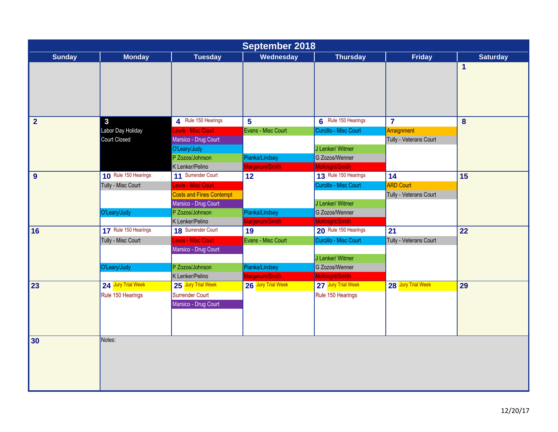| <b>September 2018</b> |                      |                                 |                    |                       |                        |                 |  |
|-----------------------|----------------------|---------------------------------|--------------------|-----------------------|------------------------|-----------------|--|
| <b>Sunday</b>         | <b>Monday</b>        | <b>Tuesday</b>                  | Wednesday          | <b>Thursday</b>       | <b>Friday</b>          | <b>Saturday</b> |  |
|                       |                      |                                 |                    |                       |                        | 1               |  |
| $\overline{2}$        | $\mathbf{3}$         | 4 Rule 150 Hearings             | $5\phantom{1}$     | 6 Rule 150 Hearings   | $\overline{7}$         | $\bf{8}$        |  |
|                       | Labor Day Holiday    | Lewis - Misc Court              | Evans - Misc Court | Curcillo - Misc Court | Arraignment            |                 |  |
|                       | Court Closed         | Marsico - Drug Court            |                    |                       | Tully - Veterans Court |                 |  |
|                       |                      | O'Leary/Judy                    |                    | J Lenker/ Witmer      |                        |                 |  |
|                       |                      | P Zozos/Johnson                 | Pianka/Lindsey     | G Zozos/Wenner        |                        |                 |  |
|                       |                      | K Lenker/Pelino                 | Margerum/Smith     | McKnight/Smith        |                        |                 |  |
| 9                     | 10 Rule 150 Hearings | 11 Surrender Court              | 12                 | 13 Rule 150 Hearings  | 14                     | 15              |  |
|                       | Tully - Misc Court   | Lewis - Misc Court              |                    | Curcillo - Misc Court | <b>ARD Court</b>       |                 |  |
|                       |                      | <b>Costs and Fines Contempt</b> |                    |                       | Tully - Veterans Court |                 |  |
|                       |                      | Marsico - Drug Court            |                    | J Lenker/ Witmer      |                        |                 |  |
|                       | O'Leary/Judy         | P Zozos/Johnson                 | Pianka/Lindsey     | G Zozos/Wenner        |                        |                 |  |
|                       |                      | K Lenker/Pelino                 | Margerum/Smith     | McKnight/Smith        |                        |                 |  |
| 16                    | 17 Rule 150 Hearings | 18 Surrender Court              | 19                 | 20 Rule 150 Hearings  | 21                     | 22              |  |
|                       | Tully - Misc Court   | Lewis - Misc Court              | Evans - Misc Court | Curcillo - Misc Court | Tully - Veterans Court |                 |  |
|                       |                      | Marsico - Drug Court            |                    |                       |                        |                 |  |
|                       |                      |                                 |                    | J Lenker/ Witmer      |                        |                 |  |
|                       | O'Leary/Judy         | P Zozos/Johnson                 | Pianka/Lindsey     | G Zozos/Wenner        |                        |                 |  |
|                       |                      | K Lenker/Pelino                 | Margerum/Smith     | McKnight/Smith        |                        |                 |  |
| 23                    | 24 Jury Trial Week   | 25 Jury Trial Week              | 26 Jury Trial Week | 27 Jury Trial Week    | 28 Jury Trial Week     | 29              |  |
|                       | Rule 150 Hearings    | Surrender Court                 |                    | Rule 150 Hearings     |                        |                 |  |
|                       |                      | Marsico - Drug Court            |                    |                       |                        |                 |  |
|                       |                      |                                 |                    |                       |                        |                 |  |
|                       |                      |                                 |                    |                       |                        |                 |  |
|                       |                      |                                 |                    |                       |                        |                 |  |
| 30                    | Notes:               |                                 |                    |                       |                        |                 |  |
|                       |                      |                                 |                    |                       |                        |                 |  |
|                       |                      |                                 |                    |                       |                        |                 |  |
|                       |                      |                                 |                    |                       |                        |                 |  |
|                       |                      |                                 |                    |                       |                        |                 |  |
|                       |                      |                                 |                    |                       |                        |                 |  |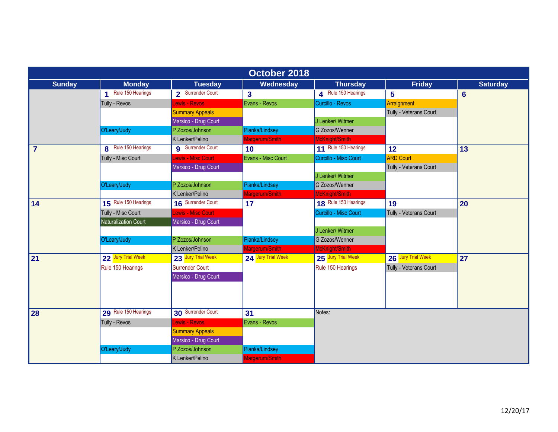| October 2018   |                            |                           |                         |                       |                        |                 |  |  |
|----------------|----------------------------|---------------------------|-------------------------|-----------------------|------------------------|-----------------|--|--|
| <b>Sunday</b>  | <b>Monday</b>              | <b>Tuesday</b>            | Wednesday               | <b>Thursday</b>       | <b>Friday</b>          | <b>Saturday</b> |  |  |
|                | 1 Rule 150 Hearings        | 2 Surrender Court         | $\overline{\mathbf{3}}$ | 4 Rule 150 Hearings   | 5                      | $6\phantom{a}$  |  |  |
|                | Tully - Revos              | <b>Lewis - Revos</b>      | Evans - Revos           | Curcillo - Revos      | Arraignment            |                 |  |  |
|                |                            | <b>Summary Appeals</b>    |                         |                       | Tully - Veterans Court |                 |  |  |
|                |                            | Marsico - Drug Court      |                         | J Lenker/ Witmer      |                        |                 |  |  |
|                | O'Leary/Judy               | P Zozos/Johnson           | Pianka/Lindsey          | G Zozos/Wenner        |                        |                 |  |  |
|                |                            | K Lenker/Pelino           | Margerum/Smith          | McKnight/Smith        |                        |                 |  |  |
| $\overline{7}$ | <b>8</b> Rule 150 Hearings | <b>g</b> Surrender Court  | 10 <sup>°</sup>         | 11 Rule 150 Hearings  | 12                     | 13              |  |  |
|                | Tully - Misc Court         | <b>Lewis - Misc Court</b> | Evans - Misc Court      | Curcillo - Misc Court | <b>ARD Court</b>       |                 |  |  |
|                |                            | Marsico - Drug Court      |                         |                       | Tully - Veterans Court |                 |  |  |
|                |                            |                           |                         | J Lenker/ Witmer      |                        |                 |  |  |
|                | O'Leary/Judy               | P Zozos/Johnson           | Pianka/Lindsey          | G Zozos/Wenner        |                        |                 |  |  |
|                |                            | K Lenker/Pelino           | Margerum/Smith          | McKnight/Smith        |                        |                 |  |  |
| 14             | 15 Rule 150 Hearings       | 16 Surrender Court        | 17                      | 18 Rule 150 Hearings  | 19                     | 20              |  |  |
|                | Tully - Misc Court         | <b>Lewis - Misc Court</b> |                         | Curcillo - Misc Court | Tully - Veterans Court |                 |  |  |
|                | Naturalization Court       | Marsico - Drug Court      |                         |                       |                        |                 |  |  |
|                |                            |                           |                         | J Lenker/ Witmer      |                        |                 |  |  |
|                | O'Leary/Judy               | P Zozos/Johnson           | Pianka/Lindsey          | G Zozos/Wenner        |                        |                 |  |  |
|                |                            | K Lenker/Pelino           | Margerum/Smith          | McKnight/Smith        |                        |                 |  |  |
| 21             | 22 Jury Trial Week         | 23 Jury Trial Week        | 24 Jury Trial Week      | 25 Jury Trial Week    | 26 Jury Trial Week     | 27              |  |  |
|                | Rule 150 Hearings          | Surrender Court           |                         | Rule 150 Hearings     | Tully - Veterans Court |                 |  |  |
|                |                            | Marsico - Drug Court      |                         |                       |                        |                 |  |  |
|                |                            |                           |                         |                       |                        |                 |  |  |
|                |                            |                           |                         |                       |                        |                 |  |  |
| 28             | 29 Rule 150 Hearings       | 30 Surrender Court        | 31                      | Notes:                |                        |                 |  |  |
|                | Tully - Revos              | <b>Lewis - Revos</b>      | Evans - Revos           |                       |                        |                 |  |  |
|                |                            | <b>Summary Appeals</b>    |                         |                       |                        |                 |  |  |
|                |                            | Marsico - Drug Court      |                         |                       |                        |                 |  |  |
|                | O'Leary/Judy               | P Zozos/Johnson           | Pianka/Lindsey          |                       |                        |                 |  |  |
|                |                            | K Lenker/Pelino           | Margerum/Smith          |                       |                        |                 |  |  |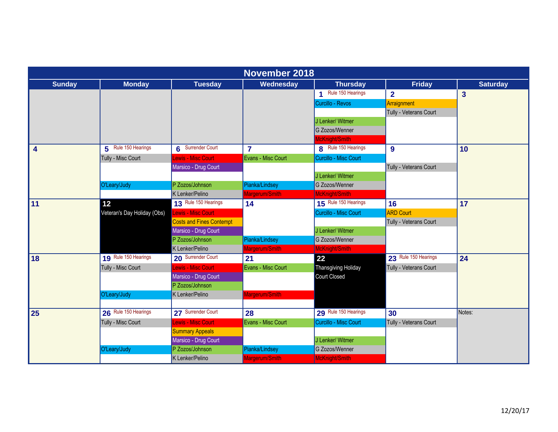|                         | <b>November 2018</b>        |                                 |                    |                       |                        |                         |  |  |  |
|-------------------------|-----------------------------|---------------------------------|--------------------|-----------------------|------------------------|-------------------------|--|--|--|
| <b>Sunday</b>           | <b>Monday</b>               | <b>Tuesday</b>                  | Wednesday          | <b>Thursday</b>       | Friday                 | <b>Saturday</b>         |  |  |  |
|                         |                             |                                 |                    | Rule 150 Hearings     | $\overline{2}$         | $\overline{\mathbf{3}}$ |  |  |  |
|                         |                             |                                 |                    | Curcillo - Revos      | Arraignment            |                         |  |  |  |
|                         |                             |                                 |                    |                       | Tully - Veterans Court |                         |  |  |  |
|                         |                             |                                 |                    | J Lenker/ Witmer      |                        |                         |  |  |  |
|                         |                             |                                 |                    | G Zozos/Wenner        |                        |                         |  |  |  |
|                         |                             |                                 |                    | McKnight/Smith        |                        |                         |  |  |  |
| $\overline{\mathbf{4}}$ | 5 Rule 150 Hearings         | 6 Surrender Court               | $\overline{7}$     | 8 Rule 150 Hearings   | 9                      | 10                      |  |  |  |
|                         | Tully - Misc Court          | <b>Lewis - Misc Court</b>       | Evans - Misc Court | Curcillo - Misc Court |                        |                         |  |  |  |
|                         |                             | Marsico - Drug Court            |                    |                       | Tully - Veterans Court |                         |  |  |  |
|                         |                             |                                 |                    | J Lenker/ Witmer      |                        |                         |  |  |  |
|                         | O'Leary/Judy                | P Zozos/Johnson                 | Pianka/Lindsey     | G Zozos/Wenner        |                        |                         |  |  |  |
|                         |                             | K Lenker/Pelino                 | Margerum/Smith     | McKnight/Smith        |                        |                         |  |  |  |
| 11                      | 12 <sup>°</sup>             | 13 Rule 150 Hearings            | 14                 | 15 Rule 150 Hearings  | 16                     | 17                      |  |  |  |
|                         | Veteran's Day Holiday (Obs) | Lewis - Misc Court              |                    | Curcillo - Misc Court | <b>ARD Court</b>       |                         |  |  |  |
|                         |                             | <b>Costs and Fines Contempt</b> |                    |                       | Tully - Veterans Court |                         |  |  |  |
|                         |                             | Marsico - Drug Court            |                    | J Lenker/ Witmer      |                        |                         |  |  |  |
|                         |                             | P Zozos/Johnson                 | Pianka/Lindsey     | G Zozos/Wenner        |                        |                         |  |  |  |
|                         |                             | K Lenker/Pelino                 | Margerum/Smith     | McKnight/Smith        |                        |                         |  |  |  |
| 18                      | 19 Rule 150 Hearings        | 20 Surrender Court              | 21                 | 22                    | 23 Rule 150 Hearings   | 24                      |  |  |  |
|                         | Tully - Misc Court          | Lewis - Misc Court              | Evans - Misc Court | Thansgiving Holiday   | Tully - Veterans Court |                         |  |  |  |
|                         |                             | Marsico - Drug Court            |                    | Court Closed          |                        |                         |  |  |  |
|                         |                             | P Zozos/Johnson                 |                    |                       |                        |                         |  |  |  |
|                         | O'Leary/Judy                | K Lenker/Pelino                 | Margerum/Smith     |                       |                        |                         |  |  |  |
|                         |                             |                                 |                    |                       |                        |                         |  |  |  |
| 25                      | 26 Rule 150 Hearings        | 27 Surrender Court              | 28                 | 29 Rule 150 Hearings  | 30                     | Notes:                  |  |  |  |
|                         | Tully - Misc Court          | Lewis - Misc Court              | Evans - Misc Court | Curcillo - Misc Court | Tully - Veterans Court |                         |  |  |  |
|                         |                             | <b>Summary Appeals</b>          |                    |                       |                        |                         |  |  |  |
|                         |                             | Marsico - Drug Court            |                    | J Lenker/ Witmer      |                        |                         |  |  |  |
|                         | O'Leary/Judy                | P Zozos/Johnson                 | Pianka/Lindsey     | G Zozos/Wenner        |                        |                         |  |  |  |
|                         |                             | K Lenker/Pelino                 | Margerum/Smith     | McKnight/Smith        |                        |                         |  |  |  |